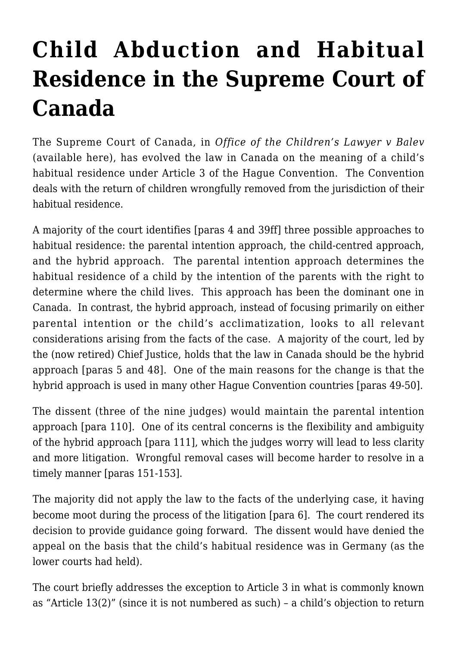## **[Child Abduction and Habitual](https://conflictoflaws.net/2018/child-abduction-and-habitual-residence-in-the-supreme-court-of-canada/) [Residence in the Supreme Court of](https://conflictoflaws.net/2018/child-abduction-and-habitual-residence-in-the-supreme-court-of-canada/) [Canada](https://conflictoflaws.net/2018/child-abduction-and-habitual-residence-in-the-supreme-court-of-canada/)**

The Supreme Court of Canada, in *Office of the Children's Lawyer v Balev* (available [here](https://scc-csc.lexum.com/scc-csc/scc-csc/en/item/17064/index.do)), has evolved the law in Canada on the meaning of a child's habitual residence under Article 3 of the Hague Convention. The Convention deals with the return of children wrongfully removed from the jurisdiction of their habitual residence.

A majority of the court identifies [paras 4 and 39ff] three possible approaches to habitual residence: the parental intention approach, the child-centred approach, and the hybrid approach. The parental intention approach determines the habitual residence of a child by the intention of the parents with the right to determine where the child lives. This approach has been the dominant one in Canada. In contrast, the hybrid approach, instead of focusing primarily on either parental intention or the child's acclimatization, looks to all relevant considerations arising from the facts of the case. A majority of the court, led by the (now retired) Chief Justice, holds that the law in Canada should be the hybrid approach [paras 5 and 48]. One of the main reasons for the change is that the hybrid approach is used in many other Hague Convention countries [paras 49-50].

The dissent (three of the nine judges) would maintain the parental intention approach [para 110]. One of its central concerns is the flexibility and ambiguity of the hybrid approach [para 111], which the judges worry will lead to less clarity and more litigation. Wrongful removal cases will become harder to resolve in a timely manner [paras 151-153].

The majority did not apply the law to the facts of the underlying case, it having become moot during the process of the litigation [para 6]. The court rendered its decision to provide guidance going forward. The dissent would have denied the appeal on the basis that the child's habitual residence was in Germany (as the lower courts had held).

The court briefly addresses the exception to Article 3 in what is commonly known as "Article 13(2)" (since it is not numbered as such) – a child's objection to return